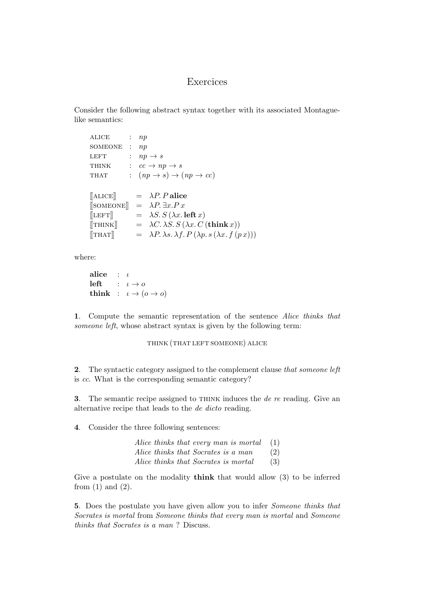## Exercices

Consider the following abstract syntax together with its associated Montaguelike semantics:

| <b>ALICE</b>              | $\mathcal{L}$        | np |                                                                            |
|---------------------------|----------------------|----|----------------------------------------------------------------------------|
| SOMEONE                   | $\sim$ 1.            | np |                                                                            |
| <b>LEFT</b>               | $\ddot{\phantom{0}}$ |    | $np \rightarrow s$                                                         |
| <b>THINK</b>              |                      |    | $\colon cc \to np \to s$                                                   |
| THAT                      |                      |    | $\therefore$ $(np \rightarrow s) \rightarrow (np \rightarrow cc)$          |
|                           |                      |    |                                                                            |
| $[\![\mathrm{ALICE}]\!]$  |                      |    | $= \lambda P.P$ alice                                                      |
|                           |                      |    | $\begin{bmatrix} \text{SOMEONE} \end{bmatrix} = \lambda P \exists x . P x$ |
| $[\![ \texttt{LEFT} ]\!]$ |                      |    | $= \lambda S. S(\lambda x.$ left x)                                        |
| $[\text{THINK}]$          |                      |    | $= \lambda C \cdot \lambda S \cdot S(\lambda x \cdot C(\text{think } x))$  |
| $\left[\nabla HAT\right]$ |                      |    | $= \lambda P. \lambda s. \lambda f. P (\lambda p. s (\lambda x. f (p x)))$ |

where:

alice :  $\iota$ left :  $\iota \rightarrow o$ think :  $\iota \to (o \to o)$ 

1. Compute the semantic representation of the sentence Alice thinks that someone left, whose abstract syntax is given by the following term:

## think (that left someone) alice

2. The syntactic category assigned to the complement clause that someone left is cc. What is the corresponding semantic category?

3. The semantic recipe assigned to  $THINK$  induces the *de re* reading. Give an alternative recipe that leads to the de dicto reading.

4. Consider the three following sentences:

| Alice thinks that every man is mortal |  | (1) |
|---------------------------------------|--|-----|
| Alice thinks that Socrates is a man   |  | (2) |
| Alice thinks that Socrates is mortal  |  | (3) |

Give a postulate on the modality think that would allow (3) to be inferred from  $(1)$  and  $(2)$ .

5. Does the postulate you have given allow you to infer Someone thinks that Socrates is mortal from Someone thinks that every man is mortal and Someone thinks that Socrates is a man ? Discuss.